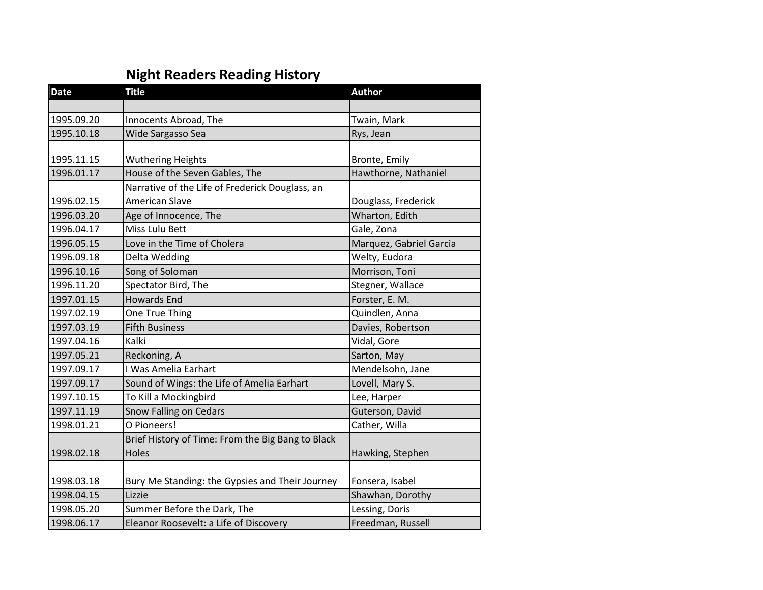## **Night Readers Reading History**

| <b>Date</b> | <b>Title</b>                                      | <b>Author</b>           |
|-------------|---------------------------------------------------|-------------------------|
|             |                                                   |                         |
| 1995.09.20  | Innocents Abroad, The                             | Twain, Mark             |
| 1995.10.18  | Wide Sargasso Sea                                 | Rys, Jean               |
|             |                                                   |                         |
| 1995.11.15  | <b>Wuthering Heights</b>                          | Bronte, Emily           |
| 1996.01.17  | House of the Seven Gables, The                    | Hawthorne, Nathaniel    |
|             | Narrative of the Life of Frederick Douglass, an   |                         |
| 1996.02.15  | <b>American Slave</b>                             | Douglass, Frederick     |
| 1996.03.20  | Age of Innocence, The                             | Wharton, Edith          |
| 1996.04.17  | Miss Lulu Bett                                    | Gale, Zona              |
| 1996.05.15  | Love in the Time of Cholera                       | Marquez, Gabriel Garcia |
| 1996.09.18  | Delta Wedding                                     | Welty, Eudora           |
| 1996.10.16  | Song of Soloman                                   | Morrison, Toni          |
| 1996.11.20  | Spectator Bird, The                               | Stegner, Wallace        |
| 1997.01.15  | <b>Howards End</b>                                | Forster, E. M.          |
| 1997.02.19  | One True Thing                                    | Quindlen, Anna          |
| 1997.03.19  | <b>Fifth Business</b>                             | Davies, Robertson       |
| 1997.04.16  | Kalki                                             | Vidal, Gore             |
| 1997.05.21  | Reckoning, A                                      | Sarton, May             |
| 1997.09.17  | I Was Amelia Earhart                              | Mendelsohn, Jane        |
| 1997.09.17  | Sound of Wings: the Life of Amelia Earhart        | Lovell, Mary S.         |
| 1997.10.15  | To Kill a Mockingbird                             | Lee, Harper             |
| 1997.11.19  | Snow Falling on Cedars                            | Guterson, David         |
| 1998.01.21  | O Pioneers!                                       | Cather, Willa           |
|             | Brief History of Time: From the Big Bang to Black |                         |
| 1998.02.18  | Holes                                             | Hawking, Stephen        |
|             |                                                   |                         |
| 1998.03.18  | Bury Me Standing: the Gypsies and Their Journey   | Fonsera, Isabel         |
| 1998.04.15  | Lizzie                                            | Shawhan, Dorothy        |
| 1998.05.20  | Summer Before the Dark, The                       | Lessing, Doris          |
| 1998.06.17  | Eleanor Roosevelt: a Life of Discovery            | Freedman, Russell       |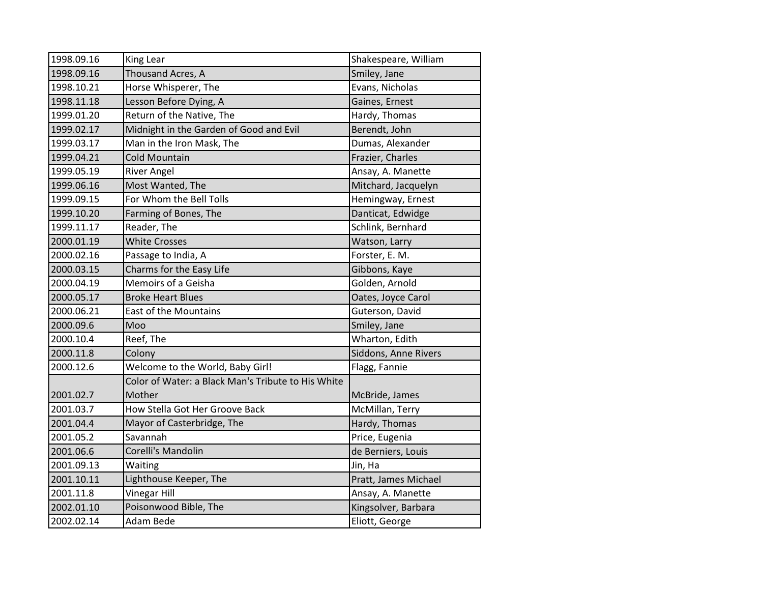| 1998.09.16 | King Lear                                          | Shakespeare, William |
|------------|----------------------------------------------------|----------------------|
| 1998.09.16 | Thousand Acres, A                                  | Smiley, Jane         |
| 1998.10.21 | Horse Whisperer, The                               | Evans, Nicholas      |
| 1998.11.18 | Lesson Before Dying, A                             | Gaines, Ernest       |
| 1999.01.20 | Return of the Native, The                          | Hardy, Thomas        |
| 1999.02.17 | Midnight in the Garden of Good and Evil            | Berendt, John        |
| 1999.03.17 | Man in the Iron Mask, The                          | Dumas, Alexander     |
| 1999.04.21 | <b>Cold Mountain</b>                               | Frazier, Charles     |
| 1999.05.19 | <b>River Angel</b>                                 | Ansay, A. Manette    |
| 1999.06.16 | Most Wanted, The                                   | Mitchard, Jacquelyn  |
| 1999.09.15 | For Whom the Bell Tolls                            | Hemingway, Ernest    |
| 1999.10.20 | Farming of Bones, The                              | Danticat, Edwidge    |
| 1999.11.17 | Reader, The                                        | Schlink, Bernhard    |
| 2000.01.19 | <b>White Crosses</b>                               | Watson, Larry        |
| 2000.02.16 | Passage to India, A                                | Forster, E. M.       |
| 2000.03.15 | Charms for the Easy Life                           | Gibbons, Kaye        |
| 2000.04.19 | Memoirs of a Geisha                                | Golden, Arnold       |
| 2000.05.17 | <b>Broke Heart Blues</b>                           | Oates, Joyce Carol   |
| 2000.06.21 | East of the Mountains                              | Guterson, David      |
| 2000.09.6  | Moo                                                | Smiley, Jane         |
| 2000.10.4  | Reef, The                                          | Wharton, Edith       |
| 2000.11.8  | Colony                                             | Siddons, Anne Rivers |
| 2000.12.6  | Welcome to the World, Baby Girl!                   | Flagg, Fannie        |
|            | Color of Water: a Black Man's Tribute to His White |                      |
| 2001.02.7  | Mother                                             | McBride, James       |
| 2001.03.7  | How Stella Got Her Groove Back                     | McMillan, Terry      |
| 2001.04.4  | Mayor of Casterbridge, The                         | Hardy, Thomas        |
| 2001.05.2  | Savannah                                           | Price, Eugenia       |
| 2001.06.6  | Corelli's Mandolin                                 | de Berniers, Louis   |
| 2001.09.13 | Waiting                                            | Jin, Ha              |
| 2001.10.11 | Lighthouse Keeper, The                             | Pratt, James Michael |
| 2001.11.8  | <b>Vinegar Hill</b>                                | Ansay, A. Manette    |
| 2002.01.10 | Poisonwood Bible, The                              | Kingsolver, Barbara  |
| 2002.02.14 | Adam Bede                                          | Eliott, George       |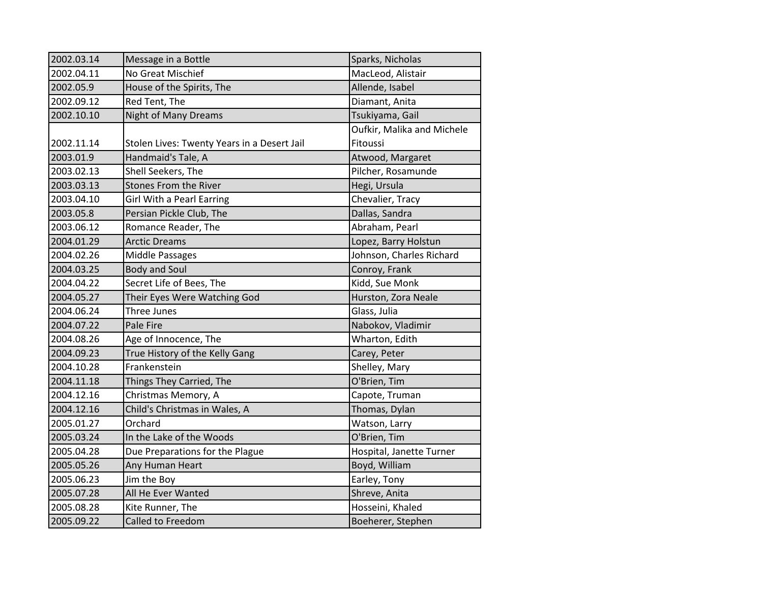| 2002.03.14 | Message in a Bottle                         | Sparks, Nicholas           |
|------------|---------------------------------------------|----------------------------|
| 2002.04.11 | No Great Mischief                           | MacLeod, Alistair          |
| 2002.05.9  | House of the Spirits, The                   | Allende, Isabel            |
| 2002.09.12 | Red Tent, The                               | Diamant, Anita             |
| 2002.10.10 | Night of Many Dreams                        | Tsukiyama, Gail            |
|            |                                             | Oufkir, Malika and Michele |
| 2002.11.14 | Stolen Lives: Twenty Years in a Desert Jail | Fitoussi                   |
| 2003.01.9  | Handmaid's Tale, A                          | Atwood, Margaret           |
| 2003.02.13 | Shell Seekers, The                          | Pilcher, Rosamunde         |
| 2003.03.13 | Stones From the River                       | Hegi, Ursula               |
| 2003.04.10 | <b>Girl With a Pearl Earring</b>            | Chevalier, Tracy           |
| 2003.05.8  | Persian Pickle Club, The                    | Dallas, Sandra             |
| 2003.06.12 | Romance Reader, The                         | Abraham, Pearl             |
| 2004.01.29 | <b>Arctic Dreams</b>                        | Lopez, Barry Holstun       |
| 2004.02.26 | Middle Passages                             | Johnson, Charles Richard   |
| 2004.03.25 | <b>Body and Soul</b>                        | Conroy, Frank              |
| 2004.04.22 | Secret Life of Bees, The                    | Kidd, Sue Monk             |
| 2004.05.27 | Their Eyes Were Watching God                | Hurston, Zora Neale        |
|            |                                             |                            |
| 2004.06.24 | Three Junes                                 | Glass, Julia               |
| 2004.07.22 | Pale Fire                                   | Nabokov, Vladimir          |
| 2004.08.26 | Age of Innocence, The                       | Wharton, Edith             |
| 2004.09.23 | True History of the Kelly Gang              | Carey, Peter               |
| 2004.10.28 | Frankenstein                                | Shelley, Mary              |
| 2004.11.18 | Things They Carried, The                    | O'Brien, Tim               |
| 2004.12.16 | Christmas Memory, A                         | Capote, Truman             |
| 2004.12.16 | Child's Christmas in Wales, A               | Thomas, Dylan              |
| 2005.01.27 | Orchard                                     | Watson, Larry              |
| 2005.03.24 | In the Lake of the Woods                    | O'Brien, Tim               |
| 2005.04.28 | Due Preparations for the Plague             | Hospital, Janette Turner   |
| 2005.05.26 | Any Human Heart                             | Boyd, William              |
| 2005.06.23 | Jim the Boy                                 | Earley, Tony               |
| 2005.07.28 | All He Ever Wanted                          | Shreve, Anita              |
| 2005.08.28 | Kite Runner, The                            | Hosseini, Khaled           |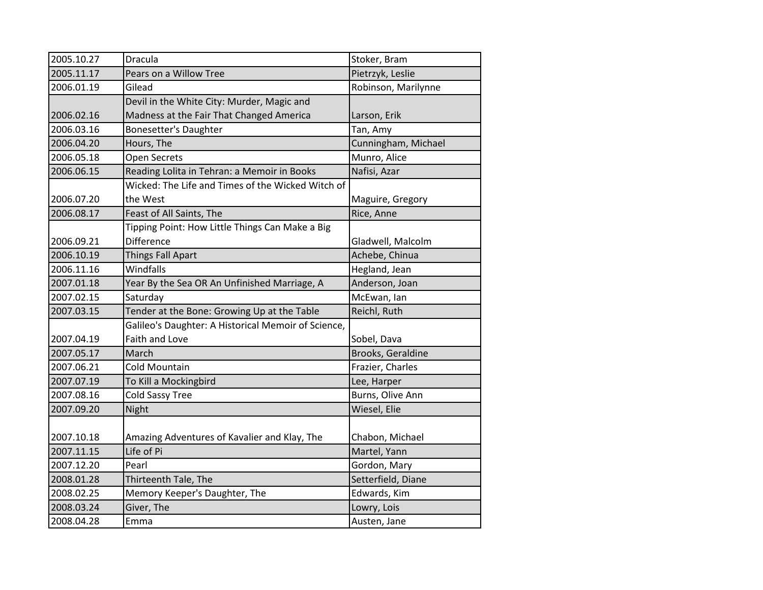| 2005.10.27 | Dracula                                             | Stoker, Bram        |
|------------|-----------------------------------------------------|---------------------|
| 2005.11.17 | Pears on a Willow Tree                              | Pietrzyk, Leslie    |
| 2006.01.19 | Gilead                                              | Robinson, Marilynne |
|            | Devil in the White City: Murder, Magic and          |                     |
| 2006.02.16 | Madness at the Fair That Changed America            | Larson, Erik        |
| 2006.03.16 | Bonesetter's Daughter                               | Tan, Amy            |
| 2006.04.20 | Hours, The                                          | Cunningham, Michael |
| 2006.05.18 | <b>Open Secrets</b>                                 | Munro, Alice        |
| 2006.06.15 | Reading Lolita in Tehran: a Memoir in Books         | Nafisi, Azar        |
|            | Wicked: The Life and Times of the Wicked Witch of   |                     |
| 2006.07.20 | the West                                            | Maguire, Gregory    |
| 2006.08.17 | Feast of All Saints, The                            | Rice, Anne          |
|            | Tipping Point: How Little Things Can Make a Big     |                     |
| 2006.09.21 | Difference                                          | Gladwell, Malcolm   |
| 2006.10.19 | <b>Things Fall Apart</b>                            | Achebe, Chinua      |
| 2006.11.16 | Windfalls                                           | Hegland, Jean       |
| 2007.01.18 | Year By the Sea OR An Unfinished Marriage, A        | Anderson, Joan      |
| 2007.02.15 | Saturday                                            | McEwan, lan         |
| 2007.03.15 | Tender at the Bone: Growing Up at the Table         | Reichl, Ruth        |
|            | Galileo's Daughter: A Historical Memoir of Science, |                     |
| 2007.04.19 | Faith and Love                                      | Sobel, Dava         |
| 2007.05.17 | March                                               | Brooks, Geraldine   |
| 2007.06.21 | <b>Cold Mountain</b>                                | Frazier, Charles    |
| 2007.07.19 | To Kill a Mockingbird                               | Lee, Harper         |
| 2007.08.16 | <b>Cold Sassy Tree</b>                              | Burns, Olive Ann    |
| 2007.09.20 | Night                                               | Wiesel, Elie        |
|            |                                                     |                     |
| 2007.10.18 | Amazing Adventures of Kavalier and Klay, The        | Chabon, Michael     |
| 2007.11.15 | Life of Pi                                          | Martel, Yann        |
| 2007.12.20 | Pearl                                               | Gordon, Mary        |
| 2008.01.28 | Thirteenth Tale, The                                | Setterfield, Diane  |
| 2008.02.25 | Memory Keeper's Daughter, The                       | Edwards, Kim        |
| 2008.03.24 | Giver, The                                          | Lowry, Lois         |
| 2008.04.28 | Emma                                                | Austen, Jane        |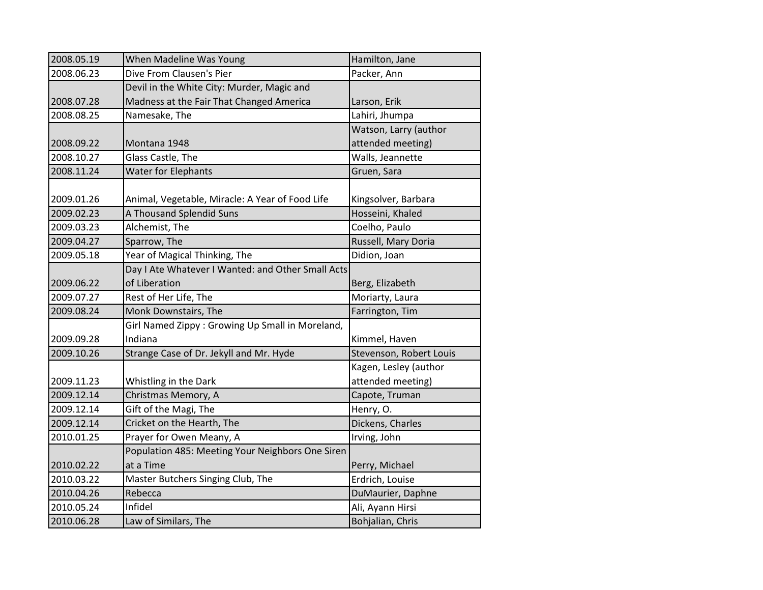| 2008.05.19 | When Madeline Was Young                           | Hamilton, Jane          |
|------------|---------------------------------------------------|-------------------------|
| 2008.06.23 | Dive From Clausen's Pier                          | Packer, Ann             |
|            | Devil in the White City: Murder, Magic and        |                         |
| 2008.07.28 | Madness at the Fair That Changed America          | Larson, Erik            |
| 2008.08.25 | Namesake, The                                     | Lahiri, Jhumpa          |
|            |                                                   | Watson, Larry (author   |
| 2008.09.22 | Montana 1948                                      | attended meeting)       |
| 2008.10.27 | Glass Castle, The                                 | Walls, Jeannette        |
| 2008.11.24 | <b>Water for Elephants</b>                        | Gruen, Sara             |
|            |                                                   |                         |
| 2009.01.26 | Animal, Vegetable, Miracle: A Year of Food Life   | Kingsolver, Barbara     |
| 2009.02.23 | A Thousand Splendid Suns                          | Hosseini, Khaled        |
| 2009.03.23 | Alchemist, The                                    | Coelho, Paulo           |
| 2009.04.27 | Sparrow, The                                      | Russell, Mary Doria     |
| 2009.05.18 | Year of Magical Thinking, The                     | Didion, Joan            |
|            | Day I Ate Whatever I Wanted: and Other Small Acts |                         |
| 2009.06.22 | of Liberation                                     | Berg, Elizabeth         |
| 2009.07.27 | Rest of Her Life, The                             | Moriarty, Laura         |
| 2009.08.24 | Monk Downstairs, The                              | Farrington, Tim         |
|            | Girl Named Zippy: Growing Up Small in Moreland,   |                         |
| 2009.09.28 | Indiana                                           | Kimmel, Haven           |
| 2009.10.26 | Strange Case of Dr. Jekyll and Mr. Hyde           | Stevenson, Robert Louis |
|            |                                                   | Kagen, Lesley (author   |
| 2009.11.23 | Whistling in the Dark                             | attended meeting)       |
| 2009.12.14 | Christmas Memory, A                               | Capote, Truman          |
| 2009.12.14 | Gift of the Magi, The                             | Henry, O.               |
| 2009.12.14 | Cricket on the Hearth, The                        | Dickens, Charles        |
| 2010.01.25 | Prayer for Owen Meany, A                          | Irving, John            |
|            | Population 485: Meeting Your Neighbors One Siren  |                         |
| 2010.02.22 | at a Time                                         | Perry, Michael          |
| 2010.03.22 | Master Butchers Singing Club, The                 | Erdrich, Louise         |
| 2010.04.26 | Rebecca                                           | DuMaurier, Daphne       |
| 2010.05.24 | Infidel                                           | Ali, Ayann Hirsi        |
| 2010.06.28 | Law of Similars, The                              | Bohjalian, Chris        |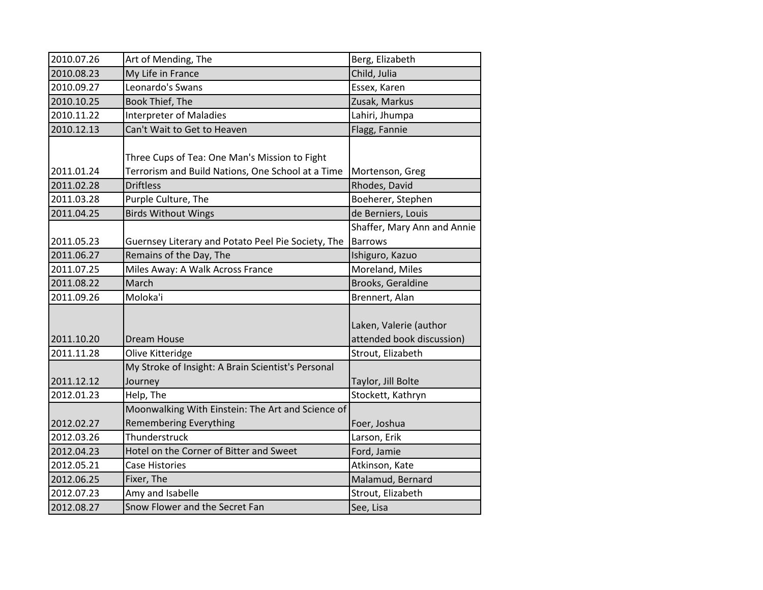| 2010.07.26 | Art of Mending, The                                                                                | Berg, Elizabeth                                     |
|------------|----------------------------------------------------------------------------------------------------|-----------------------------------------------------|
| 2010.08.23 | My Life in France                                                                                  | Child, Julia                                        |
| 2010.09.27 | Leonardo's Swans                                                                                   | Essex, Karen                                        |
| 2010.10.25 | Book Thief, The                                                                                    | Zusak, Markus                                       |
| 2010.11.22 | <b>Interpreter of Maladies</b>                                                                     | Lahiri, Jhumpa                                      |
| 2010.12.13 | Can't Wait to Get to Heaven                                                                        | Flagg, Fannie                                       |
| 2011.01.24 | Three Cups of Tea: One Man's Mission to Fight<br>Terrorism and Build Nations, One School at a Time | Mortenson, Greg                                     |
| 2011.02.28 | <b>Driftless</b>                                                                                   | Rhodes, David                                       |
| 2011.03.28 | Purple Culture, The                                                                                | Boeherer, Stephen                                   |
| 2011.04.25 | <b>Birds Without Wings</b>                                                                         | de Berniers, Louis                                  |
| 2011.05.23 | Guernsey Literary and Potato Peel Pie Society, The                                                 | Shaffer, Mary Ann and Annie<br><b>Barrows</b>       |
| 2011.06.27 | Remains of the Day, The                                                                            | Ishiguro, Kazuo                                     |
| 2011.07.25 | Miles Away: A Walk Across France                                                                   | Moreland, Miles                                     |
| 2011.08.22 | March                                                                                              | Brooks, Geraldine                                   |
| 2011.09.26 | Moloka'i                                                                                           | Brennert, Alan                                      |
| 2011.10.20 | <b>Dream House</b>                                                                                 | Laken, Valerie (author<br>attended book discussion) |
| 2011.11.28 | Olive Kitteridge                                                                                   | Strout, Elizabeth                                   |
| 2011.12.12 | My Stroke of Insight: A Brain Scientist's Personal<br>Journey                                      | Taylor, Jill Bolte                                  |
| 2012.01.23 | Help, The                                                                                          | Stockett, Kathryn                                   |
| 2012.02.27 | Moonwalking With Einstein: The Art and Science of<br><b>Remembering Everything</b>                 | Foer, Joshua                                        |
| 2012.03.26 | Thunderstruck                                                                                      | Larson, Erik                                        |
| 2012.04.23 | Hotel on the Corner of Bitter and Sweet                                                            | Ford, Jamie                                         |
| 2012.05.21 | Case Histories                                                                                     | Atkinson, Kate                                      |
| 2012.06.25 | Fixer, The                                                                                         | Malamud, Bernard                                    |
| 2012.07.23 | Amy and Isabelle                                                                                   | Strout, Elizabeth                                   |
| 2012.08.27 | Snow Flower and the Secret Fan                                                                     | See, Lisa                                           |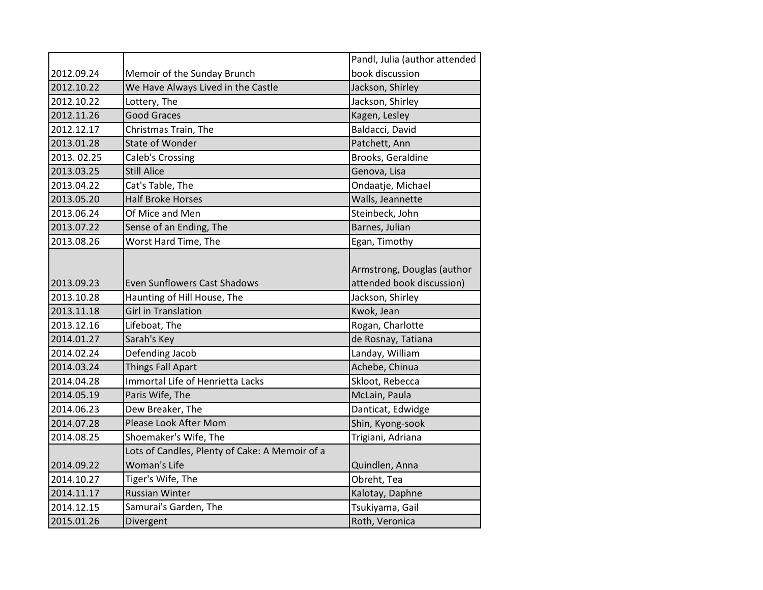|                          |                                                             | Pandl, Julia (author attended                                               |
|--------------------------|-------------------------------------------------------------|-----------------------------------------------------------------------------|
| 2012.09.24               | Memoir of the Sunday Brunch                                 | book discussion                                                             |
| 2012.10.22               | We Have Always Lived in the Castle                          | Jackson, Shirley                                                            |
| 2012.10.22               | Lottery, The                                                | Jackson, Shirley                                                            |
| 2012.11.26               | <b>Good Graces</b>                                          | Kagen, Lesley                                                               |
| 2012.12.17               | Christmas Train, The                                        | Baldacci, David                                                             |
| 2013.01.28               | <b>State of Wonder</b>                                      | Patchett, Ann                                                               |
| 2013.02.25               | <b>Caleb's Crossing</b>                                     | Brooks, Geraldine                                                           |
| 2013.03.25               | <b>Still Alice</b>                                          | Genova, Lisa                                                                |
| 2013.04.22               | Cat's Table, The                                            | Ondaatje, Michael                                                           |
| 2013.05.20               | <b>Half Broke Horses</b>                                    | Walls, Jeannette                                                            |
| 2013.06.24               | Of Mice and Men                                             | Steinbeck, John                                                             |
| 2013.07.22               | Sense of an Ending, The                                     | Barnes, Julian                                                              |
| 2013.08.26               | Worst Hard Time, The                                        | Egan, Timothy                                                               |
| 2013.09.23<br>2013.10.28 | Even Sunflowers Cast Shadows<br>Haunting of Hill House, The | Armstrong, Douglas (author<br>attended book discussion)<br>Jackson, Shirley |
|                          | <b>Girl in Translation</b>                                  |                                                                             |
| 2013.11.18<br>2013.12.16 | Lifeboat, The                                               | Kwok, Jean                                                                  |
| 2014.01.27               | Sarah's Key                                                 | Rogan, Charlotte<br>de Rosnay, Tatiana                                      |
| 2014.02.24               | Defending Jacob                                             | Landay, William                                                             |
| 2014.03.24               | <b>Things Fall Apart</b>                                    | Achebe, Chinua                                                              |
| 2014.04.28               | Immortal Life of Henrietta Lacks                            | Skloot, Rebecca                                                             |
| 2014.05.19               | Paris Wife, The                                             | McLain, Paula                                                               |
| 2014.06.23               | Dew Breaker, The                                            | Danticat, Edwidge                                                           |
| 2014.07.28               | <b>Please Look After Mom</b>                                | Shin, Kyong-sook                                                            |
| 2014.08.25               | Shoemaker's Wife, The                                       | Trigiani, Adriana                                                           |
|                          | Lots of Candles, Plenty of Cake: A Memoir of a              |                                                                             |
| 2014.09.22               | Woman's Life                                                | Quindlen, Anna                                                              |
| 2014.10.27               | Tiger's Wife, The                                           | Obreht, Tea                                                                 |
| 2014.11.17               | <b>Russian Winter</b>                                       | Kalotay, Daphne                                                             |
| 2014.12.15               | Samurai's Garden, The                                       | Tsukiyama, Gail                                                             |
|                          |                                                             |                                                                             |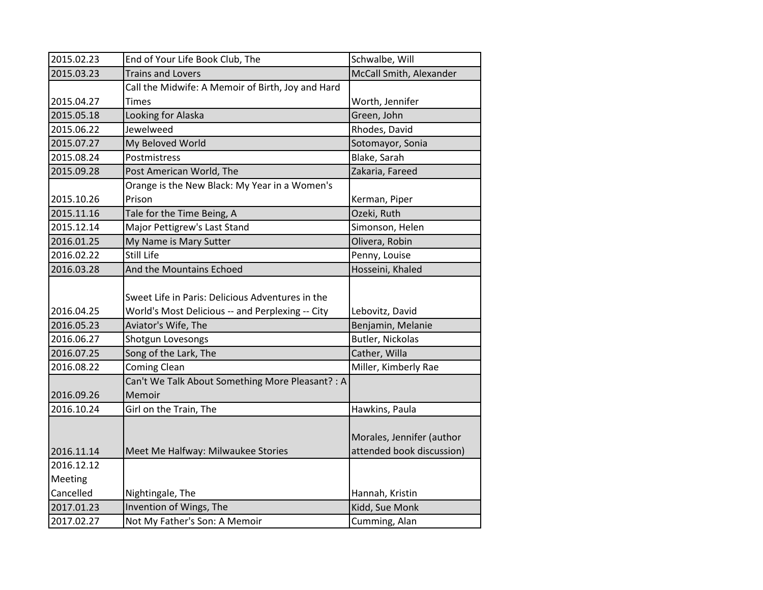| 2015.02.23 | End of Your Life Book Club, The                   | Schwalbe, Will            |
|------------|---------------------------------------------------|---------------------------|
| 2015.03.23 | <b>Trains and Lovers</b>                          | McCall Smith, Alexander   |
|            | Call the Midwife: A Memoir of Birth, Joy and Hard |                           |
| 2015.04.27 | Times                                             | Worth, Jennifer           |
| 2015.05.18 | Looking for Alaska                                | Green, John               |
| 2015.06.22 | Jewelweed                                         | Rhodes, David             |
| 2015.07.27 | My Beloved World                                  | Sotomayor, Sonia          |
| 2015.08.24 | Postmistress                                      | Blake, Sarah              |
| 2015.09.28 | Post American World, The                          | Zakaria, Fareed           |
|            | Orange is the New Black: My Year in a Women's     |                           |
| 2015.10.26 | Prison                                            | Kerman, Piper             |
| 2015.11.16 | Tale for the Time Being, A                        | Ozeki, Ruth               |
| 2015.12.14 | Major Pettigrew's Last Stand                      | Simonson, Helen           |
| 2016.01.25 | My Name is Mary Sutter                            | Olivera, Robin            |
| 2016.02.22 | Still Life                                        | Penny, Louise             |
| 2016.03.28 | And the Mountains Echoed                          | Hosseini, Khaled          |
|            |                                                   |                           |
|            | Sweet Life in Paris: Delicious Adventures in the  |                           |
| 2016.04.25 | World's Most Delicious -- and Perplexing -- City  | Lebovitz, David           |
| 2016.05.23 | Aviator's Wife, The                               | Benjamin, Melanie         |
| 2016.06.27 | Shotgun Lovesongs                                 | Butler, Nickolas          |
| 2016.07.25 | Song of the Lark, The                             | Cather, Willa             |
| 2016.08.22 | <b>Coming Clean</b>                               | Miller, Kimberly Rae      |
|            | Can't We Talk About Something More Pleasant? : A  |                           |
| 2016.09.26 | Memoir                                            |                           |
| 2016.10.24 | Girl on the Train, The                            | Hawkins, Paula            |
|            |                                                   |                           |
|            |                                                   | Morales, Jennifer (author |
| 2016.11.14 | Meet Me Halfway: Milwaukee Stories                | attended book discussion) |
| 2016.12.12 |                                                   |                           |
| Meeting    |                                                   |                           |
| Cancelled  | Nightingale, The                                  | Hannah, Kristin           |
| 2017.01.23 | Invention of Wings, The                           | Kidd, Sue Monk            |
| 2017.02.27 | Not My Father's Son: A Memoir                     | Cumming, Alan             |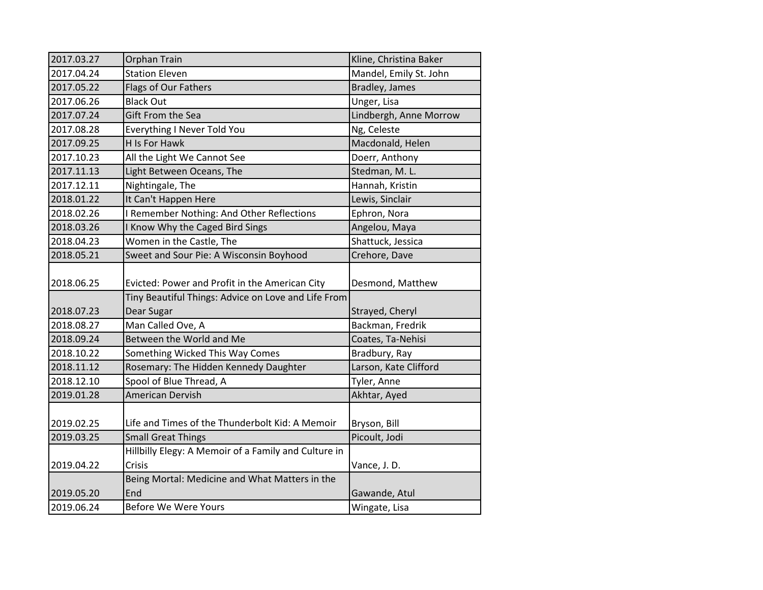| 2017.03.27               | Orphan Train                                                                                          | Kline, Christina Baker              |
|--------------------------|-------------------------------------------------------------------------------------------------------|-------------------------------------|
| 2017.04.24               | <b>Station Eleven</b>                                                                                 | Mandel, Emily St. John              |
| 2017.05.22               | Flags of Our Fathers                                                                                  | Bradley, James                      |
| 2017.06.26               | <b>Black Out</b>                                                                                      | Unger, Lisa                         |
| 2017.07.24               | Gift From the Sea                                                                                     | Lindbergh, Anne Morrow              |
| 2017.08.28               | Everything I Never Told You                                                                           | Ng, Celeste                         |
| 2017.09.25               | H Is For Hawk                                                                                         | Macdonald, Helen                    |
| 2017.10.23               | All the Light We Cannot See                                                                           | Doerr, Anthony                      |
| 2017.11.13               | Light Between Oceans, The                                                                             | Stedman, M. L.                      |
| 2017.12.11               | Nightingale, The                                                                                      | Hannah, Kristin                     |
| 2018.01.22               | It Can't Happen Here                                                                                  | Lewis, Sinclair                     |
| 2018.02.26               | I Remember Nothing: And Other Reflections                                                             | Ephron, Nora                        |
| 2018.03.26               | I Know Why the Caged Bird Sings                                                                       | Angelou, Maya                       |
| 2018.04.23               | Women in the Castle, The                                                                              | Shattuck, Jessica                   |
| 2018.05.21               | Sweet and Sour Pie: A Wisconsin Boyhood                                                               | Crehore, Dave                       |
| 2018.06.25               | Evicted: Power and Profit in the American City<br>Tiny Beautiful Things: Advice on Love and Life From | Desmond, Matthew                    |
|                          | Dear Sugar                                                                                            |                                     |
| 2018.07.23<br>2018.08.27 | Man Called Ove, A                                                                                     | Strayed, Cheryl<br>Backman, Fredrik |
| 2018.09.24               | Between the World and Me                                                                              | Coates, Ta-Nehisi                   |
| 2018.10.22               |                                                                                                       |                                     |
|                          | Something Wicked This Way Comes                                                                       | Bradbury, Ray                       |
| 2018.11.12               | Rosemary: The Hidden Kennedy Daughter                                                                 | Larson, Kate Clifford               |
| 2018.12.10               | Spool of Blue Thread, A                                                                               | Tyler, Anne                         |
| 2019.01.28               | American Dervish                                                                                      | Akhtar, Ayed                        |
| 2019.02.25               | Life and Times of the Thunderbolt Kid: A Memoir                                                       | Bryson, Bill                        |
| 2019.03.25               | <b>Small Great Things</b>                                                                             | Picoult, Jodi                       |
|                          | Hillbilly Elegy: A Memoir of a Family and Culture in                                                  |                                     |
| 2019.04.22               | Crisis                                                                                                | Vance, J.D.                         |
|                          | Being Mortal: Medicine and What Matters in the                                                        |                                     |
| 2019.05.20               | End                                                                                                   | Gawande, Atul                       |
| 2019.06.24               | <b>Before We Were Yours</b>                                                                           | Wingate, Lisa                       |